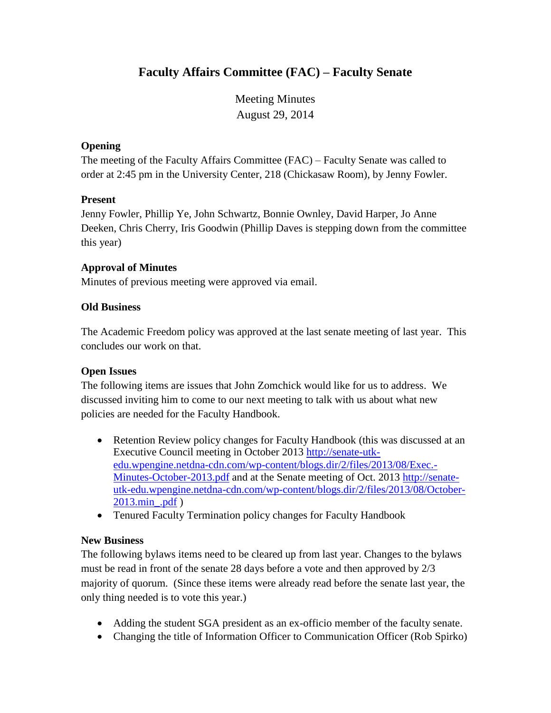# **Faculty Affairs Committee (FAC) – Faculty Senate**

Meeting Minutes August 29, 2014

## **Opening**

The meeting of the Faculty Affairs Committee (FAC) – Faculty Senate was called to order at 2:45 pm in the University Center, 218 (Chickasaw Room), by Jenny Fowler.

## **Present**

Jenny Fowler, Phillip Ye, John Schwartz, Bonnie Ownley, David Harper, Jo Anne Deeken, Chris Cherry, Iris Goodwin (Phillip Daves is stepping down from the committee this year)

## **Approval of Minutes**

Minutes of previous meeting were approved via email.

## **Old Business**

The Academic Freedom policy was approved at the last senate meeting of last year. This concludes our work on that.

## **Open Issues**

The following items are issues that John Zomchick would like for us to address. We discussed inviting him to come to our next meeting to talk with us about what new policies are needed for the Faculty Handbook.

- Retention Review policy changes for Faculty Handbook (this was discussed at an Executive Council meeting in October 2013 [http://senate-utk](http://senate-utk-edu.wpengine.netdna-cdn.com/wp-content/blogs.dir/2/files/2013/08/Exec.-Minutes-October-2013.pdf)[edu.wpengine.netdna-cdn.com/wp-content/blogs.dir/2/files/2013/08/Exec.-](http://senate-utk-edu.wpengine.netdna-cdn.com/wp-content/blogs.dir/2/files/2013/08/Exec.-Minutes-October-2013.pdf) [Minutes-October-2013.pdf](http://senate-utk-edu.wpengine.netdna-cdn.com/wp-content/blogs.dir/2/files/2013/08/Exec.-Minutes-October-2013.pdf) and at the Senate meeting of Oct. 2013 [http://senate](http://senate-utk-edu.wpengine.netdna-cdn.com/wp-content/blogs.dir/2/files/2013/08/October-2013.min_.pdf)[utk-edu.wpengine.netdna-cdn.com/wp-content/blogs.dir/2/files/2013/08/October-](http://senate-utk-edu.wpengine.netdna-cdn.com/wp-content/blogs.dir/2/files/2013/08/October-2013.min_.pdf)[2013.min\\_.pdf](http://senate-utk-edu.wpengine.netdna-cdn.com/wp-content/blogs.dir/2/files/2013/08/October-2013.min_.pdf) )
- Tenured Faculty Termination policy changes for Faculty Handbook

## **New Business**

The following bylaws items need to be cleared up from last year. Changes to the bylaws must be read in front of the senate 28 days before a vote and then approved by 2/3 majority of quorum. (Since these items were already read before the senate last year, the only thing needed is to vote this year.)

- Adding the student SGA president as an ex-officio member of the faculty senate.
- Changing the title of Information Officer to Communication Officer (Rob Spirko)